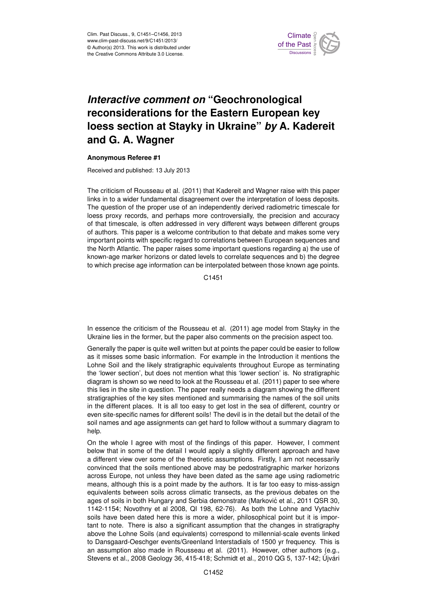

## **Interactive comment on "Geochronological** ane for th we have an loess section at Stayky in Ukraine" *by* A. Kadereit  $\epsilon$ maan ke reconsiderations for the Eastern European key )<br>C Geoscientific **and G. A. Wagner**

## Model Development **Anonymous Referee #1**

Hydrology and Received and published: 13 July 2013

Earth System . ai. (∠∪ ا ا<br>احد خا  $\overline{\phantom{0}}$ Earth System The criticism of Rousseau et al. (2011) that Kadereit and Wagner raise with this paper  $\overline{h}$ links in to a wider fundamental disagreement over the interpretation of loess deposits. occupies, is often addressed in very different ways between different groups ..<br>n<br>、 へ<br>a<br>c: loess proxy records, and perhaps more controversially, the precision and accuracy known-age marker horizons or dated levels to correlate sequences and b) the degree n<br>P h<br>e<br>า the North Atlantic. The paper raises some important questions regarding a) the use of The question of the proper use of an independently derived radiometric timescale for of authors. This paper is a welcome contribution to that debate and makes some very important points with specific regard to correlations between European sequences and to which precise age information can be interpolated between those known age points.

> Open Access C1451

In essence the criticism of the Rousseau et al. (2011) age model from Stayky in the Ukraine lies in the former, but the paper also comments on the precision aspect too.

Generally the paper is quite well written but at points the paper could be easier to follow as it misses some basic information. For example in the Introduction it mentions the Lohne Soil and the likely stratigraphic equivalents throughout Europe as terminating the 'lower section', but does not mention what this 'lower section' is. No stratigraphic diagram is shown so we need to look at the Rousseau et al. (2011) paper to see where this lies in the site in question. The paper really needs a diagram showing the different stratigraphies of the key sites mentioned and summarising the names of the soil units in the different places. It is all too easy to get lost in the sea of different, country or even site-specific names for different soils! The devil is in the detail but the detail of the soil names and age assignments can get hard to follow without a summary diagram to help.

On the whole I agree with most of the findings of this paper. However, I comment below that in some of the detail I would apply a slightly different approach and have a different view over some of the theoretic assumptions. Firstly, I am not necessarily convinced that the soils mentioned above may be pedostratigraphic marker horizons across Europe, not unless they have been dated as the same age using radiometric means, although this is a point made by the authors. It is far too easy to miss-assign equivalents between soils across climatic transects, as the previous debates on the ages of soils in both Hungary and Serbia demonstrate (Marković et al., 2011 QSR 30, 1142-1154; Novothny et al 2008, QI 198, 62-76). As both the Lohne and Vytachiv soils have been dated here this is more a wider, philosophical point but it is important to note. There is also a significant assumption that the changes in stratigraphy above the Lohne Soils (and equivalents) correspond to millennial-scale events linked to Dansgaard-Oeschger events/Greenland Interstadials of 1500 yr frequency. This is an assumption also made in Rousseau et al. (2011). However, other authors (e.g., Stevens et al., 2008 Geology 36, 415-418; Schmidt et al., 2010 QG 5, 137-142; Újvári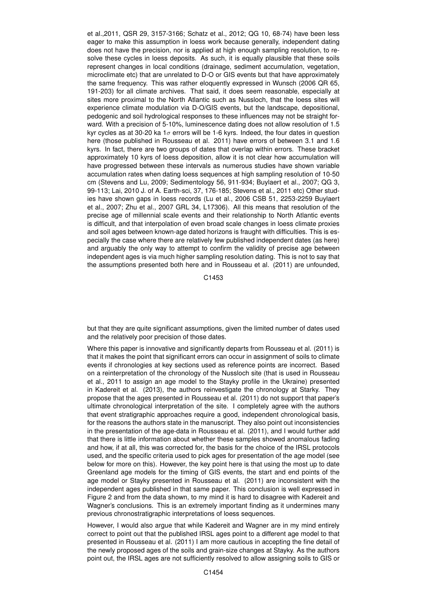et al.,2011, QSR 29, 3157-3166; Schatz et al., 2012; QG 10, 68-74) have been less eager to make this assumption in loess work because generally, independent dating does not have the precision, nor is applied at high enough sampling resolution, to resolve these cycles in loess deposits. As such, it is equally plausible that these soils represent changes in local conditions (drainage, sediment accumulation, vegetation, microclimate etc) that are unrelated to D-O or GIS events but that have approximately the same frequency. This was rather eloquently expressed in Wunsch (2006 QR 65, 191-203) for all climate archives. That said, it does seem reasonable, especially at sites more proximal to the North Atlantic such as Nussloch, that the loess sites will experience climate modulation via D-O/GIS events, but the landscape, depositional, pedogenic and soil hydrological responses to these influences may not be straight forward. With a precision of 5-10%, luminescence dating does not allow resolution of 1.5 kyr cycles as at 30-20 ka 1 $\sigma$  errors will be 1-6 kyrs. Indeed, the four dates in question here (those published in Rousseau et al. 2011) have errors of between 3.1 and 1.6 kyrs. In fact, there are two groups of dates that overlap within errors. These bracket approximately 10 kyrs of loess deposition, allow it is not clear how accumulation will have progressed between these intervals as numerous studies have shown variable accumulation rates when dating loess sequences at high sampling resolution of 10-50 cm (Stevens and Lu, 2009; Sedimentology 56, 911-934; Buylaert et al., 2007; QG 3, 99-113; Lai, 2010 J. of A. Earth-sci, 37, 176-185; Stevens et al., 2011 etc) Other studies have shown gaps in loess records (Lu et al., 2006 CSB 51, 2253-2259 Buylaert et al., 2007; Zhu et al., 2007 GRL 34, L17306). All this means that resolution of the precise age of millennial scale events and their relationship to North Atlantic events is difficult, and that interpolation of even broad scale changes in loess climate proxies and soil ages between known-age dated horizons is fraught with difficulties. This is especially the case where there are relatively few published independent dates (as here) and arguably the only way to attempt to confirm the validity of precise age between independent ages is via much higher sampling resolution dating. This is not to say that the assumptions presented both here and in Rousseau et al. (2011) are unfounded,

C1453

but that they are quite significant assumptions, given the limited number of dates used and the relatively poor precision of those dates.

Where this paper is innovative and significantly departs from Rousseau et al. (2011) is that it makes the point that significant errors can occur in assignment of soils to climate events if chronologies at key sections used as reference points are incorrect. Based on a reinterpretation of the chronology of the Nussloch site (that is used in Rousseau et al., 2011 to assign an age model to the Stayky profile in the Ukraine) presented in Kadereit et al. (2013), the authors reinvestigate the chronology at Starky. They propose that the ages presented in Rousseau et al. (2011) do not support that paper's ultimate chronological interpretation of the site. I completely agree with the authors that event stratigraphic approaches require a good, independent chronological basis, for the reasons the authors state in the manuscript. They also point out inconsistencies in the presentation of the age-data in Rousseau et al. (2011), and I would further add that there is little information about whether these samples showed anomalous fading and how, if at all, this was corrected for, the basis for the choice of the IRSL protocols used, and the specific criteria used to pick ages for presentation of the age model (see below for more on this). However, the key point here is that using the most up to date Greenland age models for the timing of GIS events, the start and end points of the age model or Stayky presented in Rousseau et al. (2011) are inconsistent with the independent ages published in that same paper. This conclusion is well expressed in Figure 2 and from the data shown, to my mind it is hard to disagree with Kadereit and Wagner's conclusions. This is an extremely important finding as it undermines many previous chronostratigraphic interpretations of loess sequences.

However, I would also argue that while Kadereit and Wagner are in my mind entirely correct to point out that the published IRSL ages point to a different age model to that presented in Rousseau et al. (2011) I am more cautious in accepting the fine detail of the newly proposed ages of the soils and grain-size changes at Stayky. As the authors point out, the IRSL ages are not sufficiently resolved to allow assigning soils to GIS or